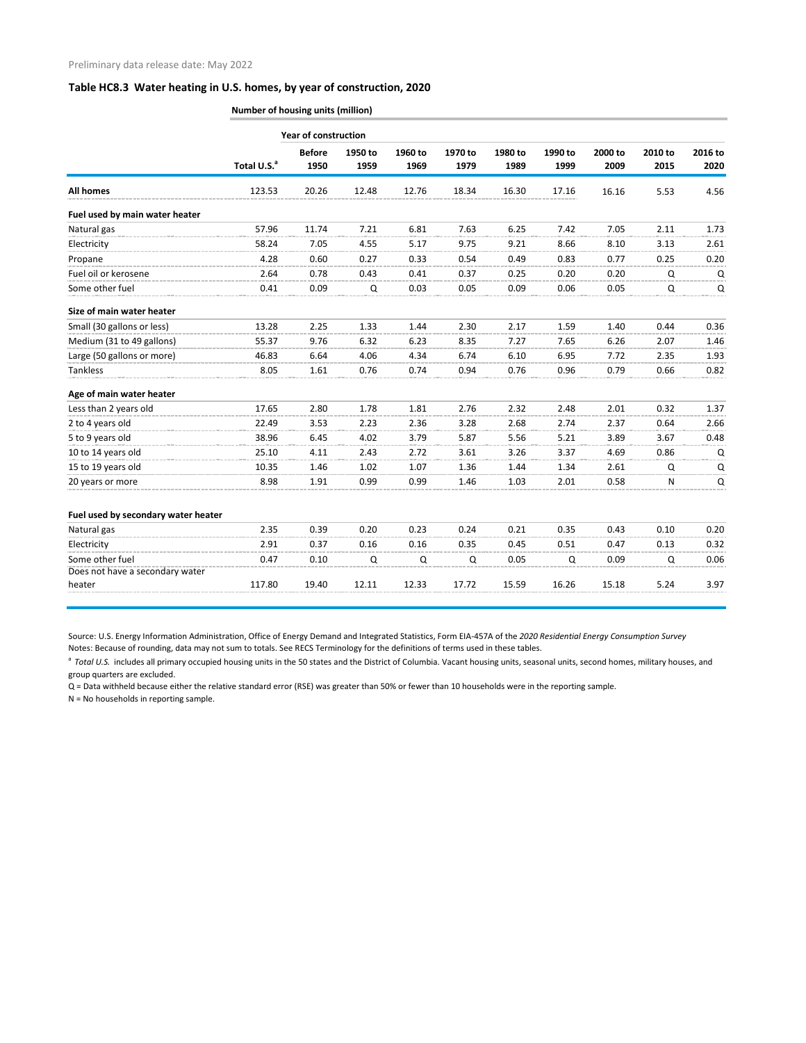## **Table HC8.3 Water heating in U.S. homes, by year of construction, 2020**

| Number of housing units (million) |
|-----------------------------------|
|                                   |

|                                     |                         | <b>Year of construction</b> |                 |                 |                 |                 |                 |                 |                 |                 |
|-------------------------------------|-------------------------|-----------------------------|-----------------|-----------------|-----------------|-----------------|-----------------|-----------------|-----------------|-----------------|
|                                     | Total U.S. <sup>a</sup> | <b>Before</b><br>1950       | 1950 to<br>1959 | 1960 to<br>1969 | 1970 to<br>1979 | 1980 to<br>1989 | 1990 to<br>1999 | 2000 to<br>2009 | 2010 to<br>2015 | 2016 to<br>2020 |
| <b>All homes</b>                    | 123.53                  | 20.26                       | 12.48           | 12.76           | 18.34           | 16.30           | 17.16           | 16.16           | 5.53            | 4.56            |
| Fuel used by main water heater      |                         |                             |                 |                 |                 |                 |                 |                 |                 |                 |
| Natural gas                         | 57.96                   | 11.74                       | 7.21            | 6.81            | 7.63            | 6.25            | 7.42            | 7.05            | 2.11            | 1.73            |
| Electricity                         | 58.24                   | 7.05                        | 4.55            | 5.17            | 9.75            | 9.21            | 8.66            | 8.10            | 3.13            | 2.61            |
| Propane                             | 4.28                    | 0.60                        | 0.27            | 0.33            | 0.54            | 0.49            | 0.83            | 0.77            | 0.25            | 0.20            |
| Fuel oil or kerosene                | 2.64                    | 0.78                        | 0.43            | 0.41            | 0.37            | 0.25            | 0.20            | 0.20            | Q               | Q               |
| Some other fuel                     | 0.41                    | 0.09                        | $\mathsf Q$     | 0.03            | 0.05            | 0.09            | 0.06            | 0.05            | Q               | Q               |
| Size of main water heater           |                         |                             |                 |                 |                 |                 |                 |                 |                 |                 |
| Small (30 gallons or less)          | 13.28                   | 2.25                        | 1.33            | 1.44            | 2.30            | 2.17            | 1.59            | 1.40            | 0.44            | 0.36            |
| Medium (31 to 49 gallons)           | 55.37                   | 9.76                        | 6.32            | 6.23            | 8.35            | 7.27            | 7.65            | 6.26            | 2.07            | 1.46            |
| Large (50 gallons or more)          | 46.83                   | 6.64                        | 4.06            | 4.34            | 6.74            | 6.10            | 6.95            | 7.72            | 2.35            | 1.93            |
| <b>Tankless</b>                     | 8.05                    | 1.61                        | 0.76            | 0.74            | 0.94            | 0.76            | 0.96            | 0.79            | 0.66            | 0.82            |
| Age of main water heater            |                         |                             |                 |                 |                 |                 |                 |                 |                 |                 |
| Less than 2 years old               | 17.65                   | 2.80                        | 1.78            | 1.81            | 2.76            | 2.32            | 2.48            | 2.01            | 0.32            | 1.37            |
| 2 to 4 years old                    | 22.49                   | 3.53                        | 2.23            | 2.36            | 3.28            | 2.68            | 2.74            | 2.37            | 0.64            | 2.66            |
| 5 to 9 years old                    | 38.96                   | 6.45                        | 4.02            | 3.79            | 5.87            | 5.56            | 5.21            | 3.89            | 3.67            | 0.48            |
| 10 to 14 years old                  | 25.10                   | 4.11                        | 2.43            | 2.72            | 3.61            | 3.26            | 3.37            | 4.69            | 0.86            | Q               |
| 15 to 19 years old                  | 10.35                   | 1.46                        | 1.02            | 1.07            | 1.36            | 1.44            | 1.34            | 2.61            | Q               | Q               |
| 20 years or more                    | 8.98                    | 1.91                        | 0.99            | 0.99            | 1.46            | 1.03            | 2.01            | 0.58            | $\mathsf{N}$    | Q               |
| Fuel used by secondary water heater |                         |                             |                 |                 |                 |                 |                 |                 |                 |                 |
| Natural gas                         | 2.35                    | 0.39                        | 0.20            | 0.23            | 0.24            | 0.21            | 0.35            | 0.43            | 0.10            | 0.20            |
| Electricity                         | 2.91                    | 0.37                        | 0.16            | 0.16            | 0.35            | 0.45            | 0.51            | 0.47            | 0.13            | 0.32            |
| Some other fuel                     | 0.47                    | 0.10                        | Q               | $\mathsf Q$     | Q               | 0.05            | Q               | 0.09            | Q               | 0.06            |
| Does not have a secondary water     |                         |                             |                 |                 |                 |                 |                 |                 |                 |                 |
| heater                              | 117.80                  | 19.40                       | 12.11           | 12.33           | 17.72           | 15.59           | 16.26           | 15.18           | 5.24            | 3.97            |

Source: U.S. Energy Information Administration, Office of Energy Demand and Integrated Statistics, Form EIA-457A of the *2020 Residential Energy Consumption Survey* Notes: Because of rounding, data may not sum to totals. See RECS Terminology for the definitions of terms used in these tables.

<sup>a</sup> Total U.S. includes all primary occupied housing units in the 50 states and the District of Columbia. Vacant housing units, seasonal units, second homes, military houses, and group quarters are excluded.

Q = Data withheld because either the relative standard error (RSE) was greater than 50% or fewer than 10 households were in the reporting sample. N = No households in reporting sample.